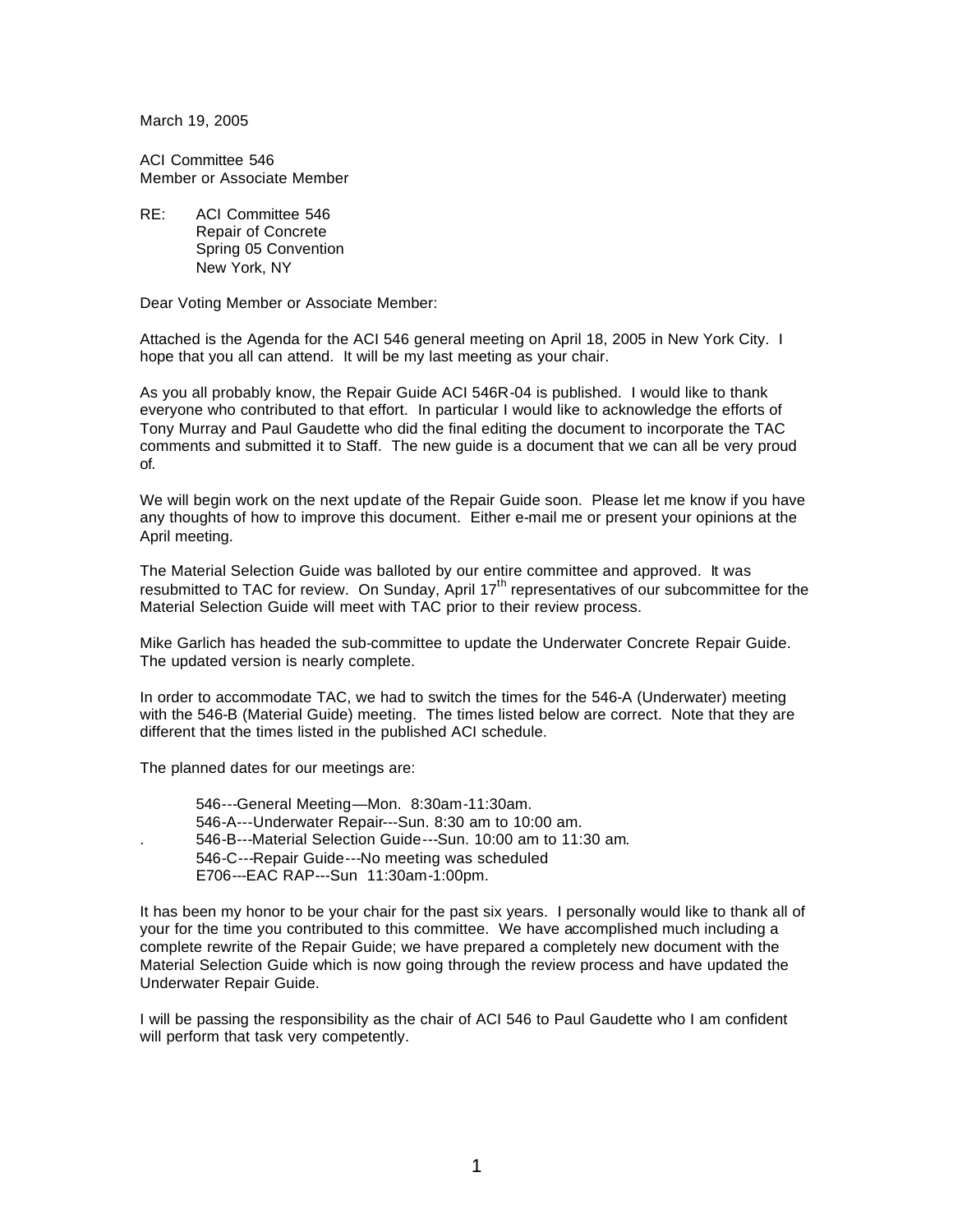March 19, 2005

ACI Committee 546 Member or Associate Member

RE: ACI Committee 546 Repair of Concrete Spring 05 Convention New York, NY

Dear Voting Member or Associate Member:

Attached is the Agenda for the ACI 546 general meeting on April 18, 2005 in New York City. I hope that you all can attend. It will be my last meeting as your chair.

As you all probably know, the Repair Guide ACI 546R-04 is published. I would like to thank everyone who contributed to that effort. In particular I would like to acknowledge the efforts of Tony Murray and Paul Gaudette who did the final editing the document to incorporate the TAC comments and submitted it to Staff. The new guide is a document that we can all be very proud of.

We will begin work on the next update of the Repair Guide soon. Please let me know if you have any thoughts of how to improve this document. Either e-mail me or present your opinions at the April meeting.

The Material Selection Guide was balloted by our entire committee and approved. It was resubmitted to TAC for review. On Sunday, April 17<sup>th</sup> representatives of our subcommittee for the Material Selection Guide will meet with TAC prior to their review process.

Mike Garlich has headed the sub-committee to update the Underwater Concrete Repair Guide. The updated version is nearly complete.

In order to accommodate TAC, we had to switch the times for the 546-A (Underwater) meeting with the 546-B (Material Guide) meeting. The times listed below are correct. Note that they are different that the times listed in the published ACI schedule.

The planned dates for our meetings are:

546---General Meeting—Mon. 8:30am-11:30am. 546-A---Underwater Repair---Sun. 8:30 am to 10:00 am. . 546-B---Material Selection Guide---Sun. 10:00 am to 11:30 am. 546-C---Repair Guide---No meeting was scheduled E706---EAC RAP---Sun 11:30am-1:00pm.

It has been my honor to be your chair for the past six years. I personally would like to thank all of your for the time you contributed to this committee. We have accomplished much including a complete rewrite of the Repair Guide; we have prepared a completely new document with the Material Selection Guide which is now going through the review process and have updated the Underwater Repair Guide.

I will be passing the responsibility as the chair of ACI 546 to Paul Gaudette who I am confident will perform that task very competently.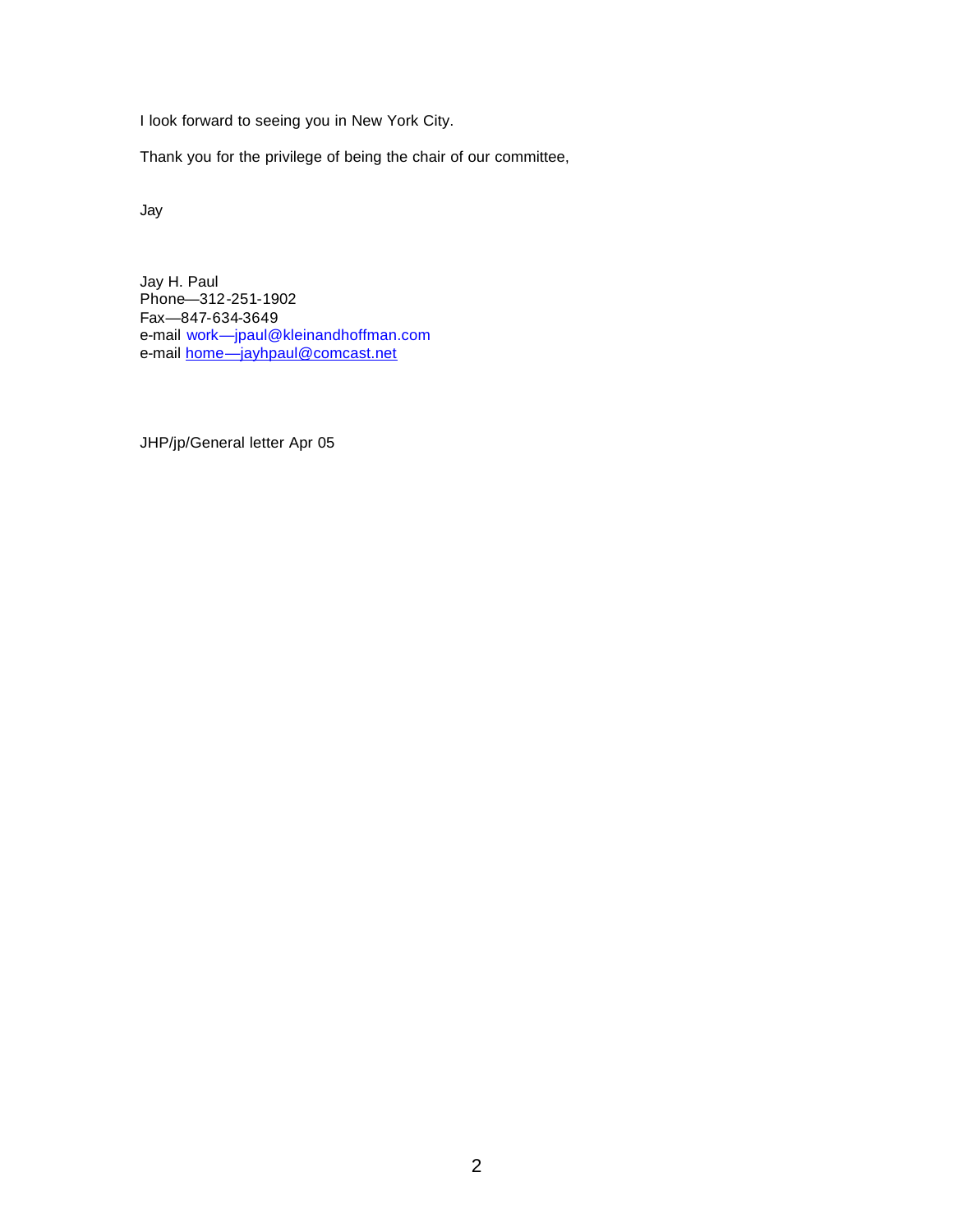I look forward to seeing you in New York City.

Thank you for the privilege of being the chair of our committee,

Jay

Jay H. Paul Phone—312-251-1902 Fax—847-634-3649 e-mail work—jpaul@kleinandhoffman.com e-mail home—jayhpaul@comcast.net

JHP/jp/General letter Apr 05